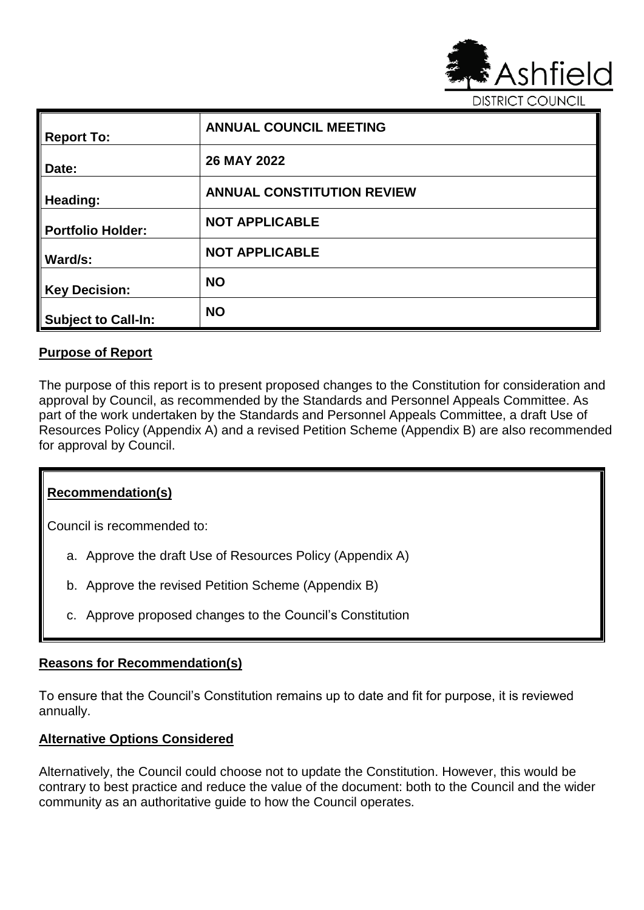

**DISTRICT COUNCIL** 

| <b>Report To:</b>          | <b>ANNUAL COUNCIL MEETING</b>     |
|----------------------------|-----------------------------------|
| Date:                      | 26 MAY 2022                       |
| Heading:                   | <b>ANNUAL CONSTITUTION REVIEW</b> |
| <b>Portfolio Holder:</b>   | <b>NOT APPLICABLE</b>             |
| Ward/s:                    | <b>NOT APPLICABLE</b>             |
| <b>Key Decision:</b>       | <b>NO</b>                         |
| <b>Subject to Call-In:</b> | <b>NO</b>                         |

### **Purpose of Report**

The purpose of this report is to present proposed changes to the Constitution for consideration and approval by Council, as recommended by the Standards and Personnel Appeals Committee. As part of the work undertaken by the Standards and Personnel Appeals Committee, a draft Use of Resources Policy (Appendix A) and a revised Petition Scheme (Appendix B) are also recommended for approval by Council.

### **Recommendation(s)**

Council is recommended to:

- a. Approve the draft Use of Resources Policy (Appendix A)
- b. Approve the revised Petition Scheme (Appendix B)
- c. Approve proposed changes to the Council's Constitution

### **Reasons for Recommendation(s)**

To ensure that the Council's Constitution remains up to date and fit for purpose, it is reviewed annually.

### **Alternative Options Considered**

Alternatively, the Council could choose not to update the Constitution. However, this would be contrary to best practice and reduce the value of the document: both to the Council and the wider community as an authoritative guide to how the Council operates.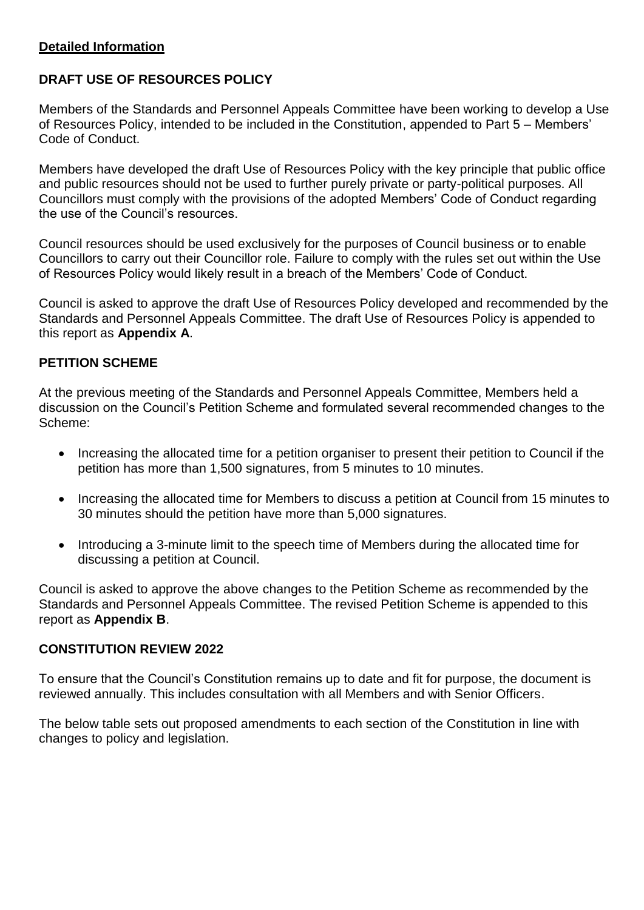### **Detailed Information**

## **DRAFT USE OF RESOURCES POLICY**

Members of the Standards and Personnel Appeals Committee have been working to develop a Use of Resources Policy, intended to be included in the Constitution, appended to Part 5 – Members' Code of Conduct.

Members have developed the draft Use of Resources Policy with the key principle that public office and public resources should not be used to further purely private or party-political purposes. All Councillors must comply with the provisions of the adopted Members' Code of Conduct regarding the use of the Council's resources.

Council resources should be used exclusively for the purposes of Council business or to enable Councillors to carry out their Councillor role. Failure to comply with the rules set out within the Use of Resources Policy would likely result in a breach of the Members' Code of Conduct.

Council is asked to approve the draft Use of Resources Policy developed and recommended by the Standards and Personnel Appeals Committee. The draft Use of Resources Policy is appended to this report as **Appendix A**.

## **PETITION SCHEME**

At the previous meeting of the Standards and Personnel Appeals Committee, Members held a discussion on the Council's Petition Scheme and formulated several recommended changes to the Scheme:

- Increasing the allocated time for a petition organiser to present their petition to Council if the petition has more than 1,500 signatures, from 5 minutes to 10 minutes.
- Increasing the allocated time for Members to discuss a petition at Council from 15 minutes to 30 minutes should the petition have more than 5,000 signatures.
- Introducing a 3-minute limit to the speech time of Members during the allocated time for discussing a petition at Council.

Council is asked to approve the above changes to the Petition Scheme as recommended by the Standards and Personnel Appeals Committee. The revised Petition Scheme is appended to this report as **Appendix B**.

### **CONSTITUTION REVIEW 2022**

To ensure that the Council's Constitution remains up to date and fit for purpose, the document is reviewed annually. This includes consultation with all Members and with Senior Officers.

The below table sets out proposed amendments to each section of the Constitution in line with changes to policy and legislation.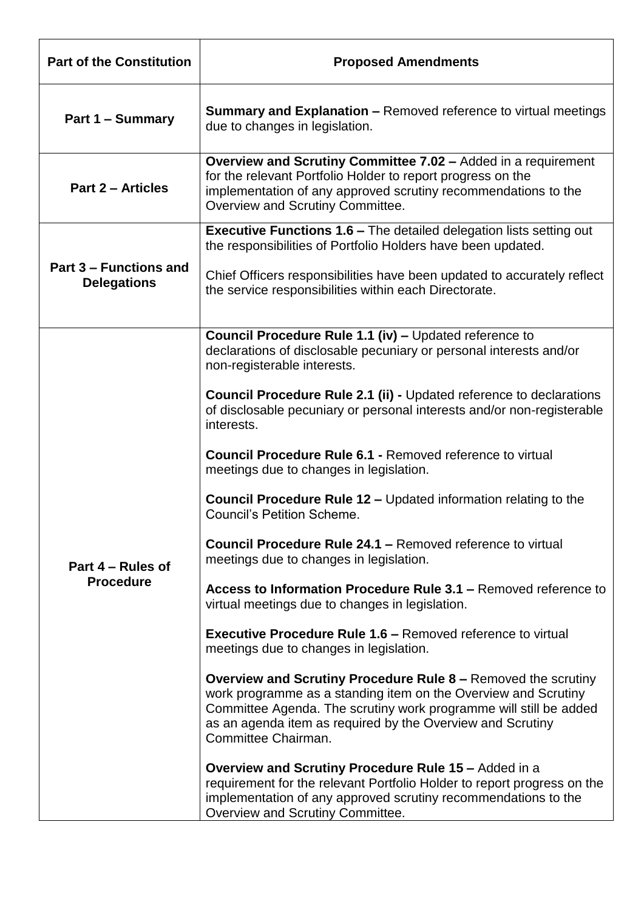| <b>Part of the Constitution</b>              | <b>Proposed Amendments</b>                                                                                                                                                                                                                                                                                                                                                                                                                                                                                                                                                                                                                                                                                                                                                                                                                                                                                                                                                                                                                                                                                                                                                                                                 |
|----------------------------------------------|----------------------------------------------------------------------------------------------------------------------------------------------------------------------------------------------------------------------------------------------------------------------------------------------------------------------------------------------------------------------------------------------------------------------------------------------------------------------------------------------------------------------------------------------------------------------------------------------------------------------------------------------------------------------------------------------------------------------------------------------------------------------------------------------------------------------------------------------------------------------------------------------------------------------------------------------------------------------------------------------------------------------------------------------------------------------------------------------------------------------------------------------------------------------------------------------------------------------------|
| Part 1 – Summary                             | <b>Summary and Explanation – Removed reference to virtual meetings</b><br>due to changes in legislation.                                                                                                                                                                                                                                                                                                                                                                                                                                                                                                                                                                                                                                                                                                                                                                                                                                                                                                                                                                                                                                                                                                                   |
| <b>Part 2 - Articles</b>                     | Overview and Scrutiny Committee 7.02 - Added in a requirement<br>for the relevant Portfolio Holder to report progress on the<br>implementation of any approved scrutiny recommendations to the<br>Overview and Scrutiny Committee.                                                                                                                                                                                                                                                                                                                                                                                                                                                                                                                                                                                                                                                                                                                                                                                                                                                                                                                                                                                         |
| Part 3 – Functions and<br><b>Delegations</b> | <b>Executive Functions 1.6 – The detailed delegation lists setting out</b><br>the responsibilities of Portfolio Holders have been updated.<br>Chief Officers responsibilities have been updated to accurately reflect<br>the service responsibilities within each Directorate.                                                                                                                                                                                                                                                                                                                                                                                                                                                                                                                                                                                                                                                                                                                                                                                                                                                                                                                                             |
| Part 4 – Rules of<br><b>Procedure</b>        | Council Procedure Rule 1.1 (iv) - Updated reference to<br>declarations of disclosable pecuniary or personal interests and/or<br>non-registerable interests.<br><b>Council Procedure Rule 2.1 (ii) - Updated reference to declarations</b><br>of disclosable pecuniary or personal interests and/or non-registerable<br>interests.<br><b>Council Procedure Rule 6.1 - Removed reference to virtual</b><br>meetings due to changes in legislation.<br><b>Council Procedure Rule 12 – Updated information relating to the</b><br><b>Council's Petition Scheme.</b><br><b>Council Procedure Rule 24.1 – Removed reference to virtual</b><br>meetings due to changes in legislation.<br>Access to Information Procedure Rule 3.1 - Removed reference to<br>virtual meetings due to changes in legislation.<br><b>Executive Procedure Rule 1.6 – Removed reference to virtual</b><br>meetings due to changes in legislation.<br><b>Overview and Scrutiny Procedure Rule 8 – Removed the scrutiny</b><br>work programme as a standing item on the Overview and Scrutiny<br>Committee Agenda. The scrutiny work programme will still be added<br>as an agenda item as required by the Overview and Scrutiny<br>Committee Chairman. |
|                                              | <b>Overview and Scrutiny Procedure Rule 15 - Added in a</b><br>requirement for the relevant Portfolio Holder to report progress on the<br>implementation of any approved scrutiny recommendations to the<br>Overview and Scrutiny Committee.                                                                                                                                                                                                                                                                                                                                                                                                                                                                                                                                                                                                                                                                                                                                                                                                                                                                                                                                                                               |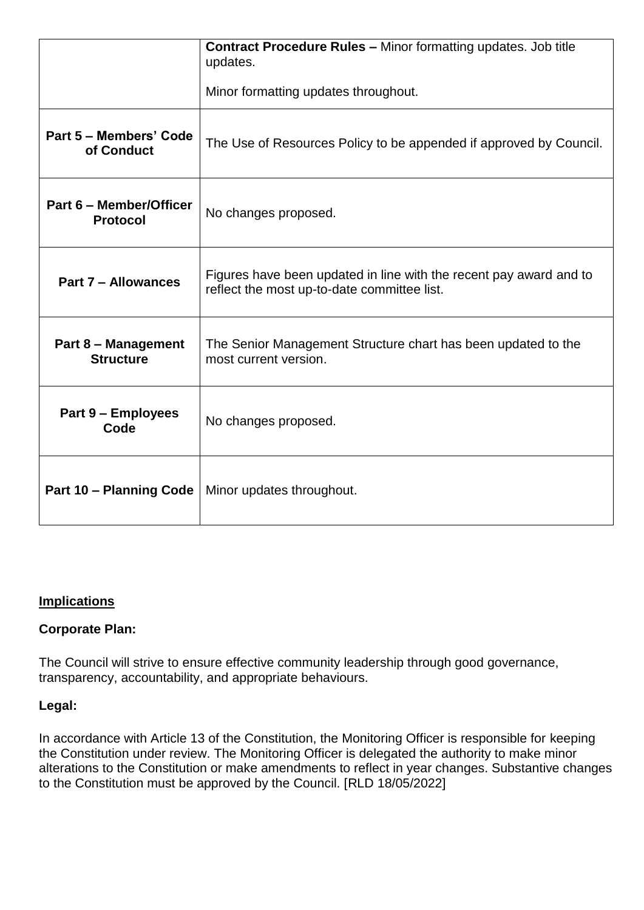|                                                | <b>Contract Procedure Rules - Minor formatting updates. Job title</b><br>updates.                                 |
|------------------------------------------------|-------------------------------------------------------------------------------------------------------------------|
|                                                | Minor formatting updates throughout.                                                                              |
| Part 5 – Members' Code<br>of Conduct           | The Use of Resources Policy to be appended if approved by Council.                                                |
| Part 6 - Member/Officer<br><b>Protocol</b>     | No changes proposed.                                                                                              |
| Part 7 - Allowances                            | Figures have been updated in line with the recent pay award and to<br>reflect the most up-to-date committee list. |
| <b>Part 8 - Management</b><br><b>Structure</b> | The Senior Management Structure chart has been updated to the<br>most current version.                            |
| Part 9 – Employees<br>Code                     | No changes proposed.                                                                                              |
| <b>Part 10 - Planning Code</b>                 | Minor updates throughout.                                                                                         |

# **Implications**

## **Corporate Plan:**

The Council will strive to ensure effective community leadership through good governance, transparency, accountability, and appropriate behaviours.

## **Legal:**

In accordance with Article 13 of the Constitution, the Monitoring Officer is responsible for keeping the Constitution under review. The Monitoring Officer is delegated the authority to make minor alterations to the Constitution or make amendments to reflect in year changes. Substantive changes to the Constitution must be approved by the Council. [RLD 18/05/2022]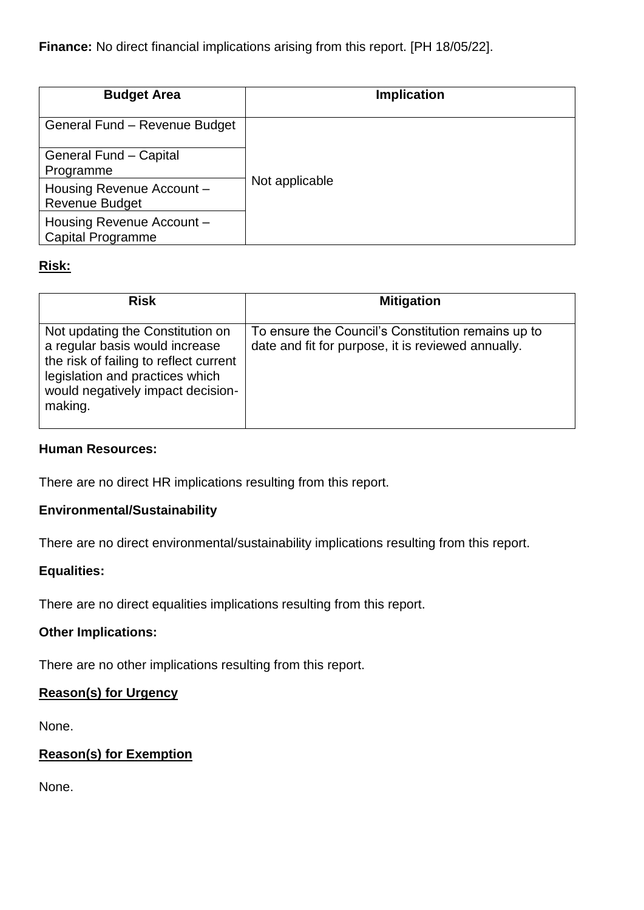**Finance:** No direct financial implications arising from this report. [PH 18/05/22].

| <b>Budget Area</b>                                    | <b>Implication</b> |
|-------------------------------------------------------|--------------------|
| General Fund - Revenue Budget                         |                    |
| General Fund - Capital                                |                    |
| Programme                                             |                    |
| Housing Revenue Account -<br><b>Revenue Budget</b>    | Not applicable     |
| Housing Revenue Account -<br><b>Capital Programme</b> |                    |

# **Risk:**

| <b>Risk</b>                                                                                                                                                                                     | <b>Mitigation</b>                                                                                        |
|-------------------------------------------------------------------------------------------------------------------------------------------------------------------------------------------------|----------------------------------------------------------------------------------------------------------|
| Not updating the Constitution on<br>a regular basis would increase<br>the risk of failing to reflect current<br>legislation and practices which<br>would negatively impact decision-<br>making. | To ensure the Council's Constitution remains up to<br>date and fit for purpose, it is reviewed annually. |

## **Human Resources:**

There are no direct HR implications resulting from this report.

## **Environmental/Sustainability**

There are no direct environmental/sustainability implications resulting from this report.

# **Equalities:**

There are no direct equalities implications resulting from this report.

## **Other Implications:**

There are no other implications resulting from this report.

## **Reason(s) for Urgency**

None.

# **Reason(s) for Exemption**

None.